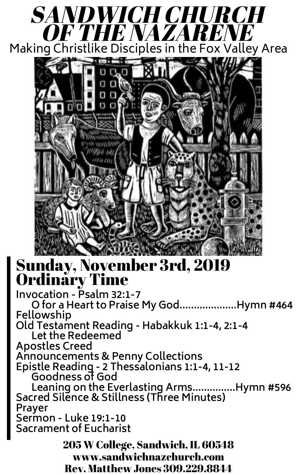



## Sunday, November 3rd, 2019 Ordinary Time

**Invocation - Psalm 32:1-7 O for a Heart to Praise My God....................Hymn #464 Fellowship Old Testament Reading - Habakkuk 1:1-4, 2:1-4 Let the Redeemed Apostles Creed Announcements & Penny Collections Epistle Reading - 2 Thessalonians 1:1-4, 11-12 Goodness of God Leaning on the Everlasting Arms...............Hymn #596 Sacred Silence & Stillness (Three Minutes) Prayer Sermon - Luke 19:1-10 Sacrament of Eucharist** 205 W College, Sandwich, IL 60548

www.sandwichnazchurch.com

Rev. Matthew Jones 309.229.8844